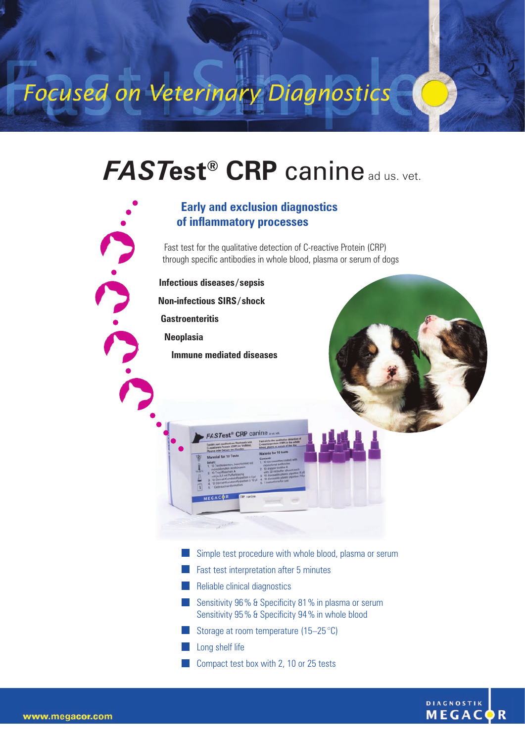Focused on Veterinary Diagnostics

## *FASTest®* **CRP** canine ad us. vet.

## **Early and exclusion diagnostics of inflammatory processes**

Fast test for the qualitative detection of C-reactive Protein (CRP) through specific antibodies in whole blood, plasma or serum of dogs

 **Infectious diseases / sepsis**

**Non-infectious SIRS / shock**

**Gastroenteritis**

**Neoplasia**

**Immune mediated diseases**

 Simple test procedure with whole blood, plasma or serum Fast test interpretation after 5 minutes **Reliable clinical diagnostics** Sensitivity 96% & Specificity 81% in plasma or serum Sensitivity 95% & Specificity 94% in whole blood

Storage at room temperature  $(15-25 \degree C)$ 

Long shelf life

Compact test box with 2, 10 or 25 tests